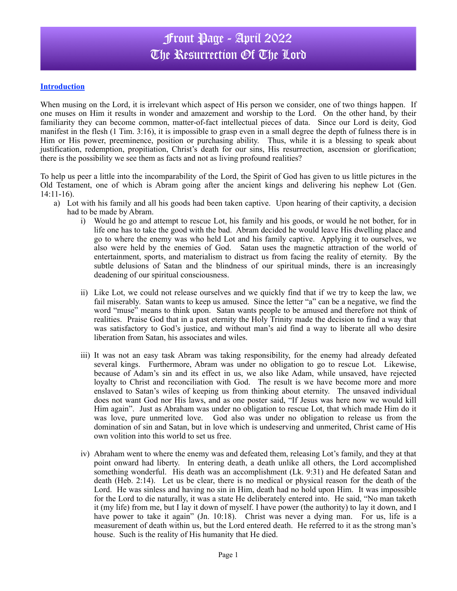### Front Page - April 2022 The Resurrection Of The Lord

#### **Introduction**

When musing on the Lord, it is irrelevant which aspect of His person we consider, one of two things happen. If one muses on Him it results in wonder and amazement and worship to the Lord. On the other hand, by their familiarity they can become common, matter-of-fact intellectual pieces of data. Since our Lord is deity, God manifest in the flesh (1 Tim. 3:16), it is impossible to grasp even in a small degree the depth of fulness there is in Him or His power, preeminence, position or purchasing ability. Thus, while it is a blessing to speak about justification, redemption, propitiation, Christ's death for our sins, His resurrection, ascension or glorification; there is the possibility we see them as facts and not as living profound realities?

To help us peer a little into the incomparability of the Lord, the Spirit of God has given to us little pictures in the Old Testament, one of which is Abram going after the ancient kings and delivering his nephew Lot (Gen. 14:11-16).

- a) Lot with his family and all his goods had been taken captive. Upon hearing of their captivity, a decision had to be made by Abram.
	- i) Would he go and attempt to rescue Lot, his family and his goods, or would he not bother, for in life one has to take the good with the bad. Abram decided he would leave His dwelling place and go to where the enemy was who held Lot and his family captive. Applying it to ourselves, we also were held by the enemies of God. Satan uses the magnetic attraction of the world of entertainment, sports, and materialism to distract us from facing the reality of eternity. By the subtle delusions of Satan and the blindness of our spiritual minds, there is an increasingly deadening of our spiritual consciousness.
	- ii) Like Lot, we could not release ourselves and we quickly find that if we try to keep the law, we fail miserably. Satan wants to keep us amused. Since the letter "a" can be a negative, we find the word "muse" means to think upon. Satan wants people to be amused and therefore not think of realities. Praise God that in a past eternity the Holy Trinity made the decision to find a way that was satisfactory to God's justice, and without man's aid find a way to liberate all who desire liberation from Satan, his associates and wiles.
	- iii) It was not an easy task Abram was taking responsibility, for the enemy had already defeated several kings. Furthermore, Abram was under no obligation to go to rescue Lot. Likewise, because of Adam's sin and its effect in us, we also like Adam, while unsaved, have rejected loyalty to Christ and reconciliation with God. The result is we have become more and more enslaved to Satan's wiles of keeping us from thinking about eternity. The unsaved individual does not want God nor His laws, and as one poster said, "If Jesus was here now we would kill Him again". Just as Abraham was under no obligation to rescue Lot, that which made Him do it was love, pure unmerited love. God also was under no obligation to release us from the domination of sin and Satan, but in love which is undeserving and unmerited, Christ came of His own volition into this world to set us free.
	- iv) Abraham went to where the enemy was and defeated them, releasing Lot's family, and they at that point onward had liberty. In entering death, a death unlike all others, the Lord accomplished something wonderful. His death was an accomplishment (Lk. 9:31) and He defeated Satan and death (Heb. 2:14). Let us be clear, there is no medical or physical reason for the death of the Lord. He was sinless and having no sin in Him, death had no hold upon Him. It was impossible for the Lord to die naturally, it was a state He deliberately entered into. He said, "No man taketh it (my life) from me, but I lay it down of myself. I have power (the authority) to lay it down, and I have power to take it again" (Jn. 10:18). Christ was never a dying man. For us, life is a measurement of death within us, but the Lord entered death. He referred to it as the strong man's house. Such is the reality of His humanity that He died.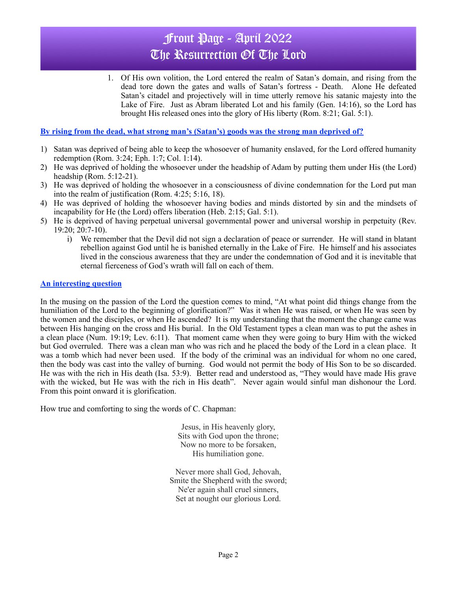# Front Page - April 2022 The Resurrection Of The Lord

1. Of His own volition, the Lord entered the realm of Satan's domain, and rising from the dead tore down the gates and walls of Satan's fortress - Death. Alone He defeated Satan's citadel and projectively will in time utterly remove his satanic majesty into the Lake of Fire. Just as Abram liberated Lot and his family (Gen. 14:16), so the Lord has brought His released ones into the glory of His liberty (Rom. 8:21; Gal. 5:1).

### **By rising from the dead, what strong man's (Satan's) goods was the strong man deprived of?**

- 1) Satan was deprived of being able to keep the whosoever of humanity enslaved, for the Lord offered humanity redemption (Rom. 3:24; Eph. 1:7; Col. 1:14).
- 2) He was deprived of holding the whosoever under the headship of Adam by putting them under His (the Lord) headship (Rom. 5:12-21).
- 3) He was deprived of holding the whosoever in a consciousness of divine condemnation for the Lord put man into the realm of justification (Rom. 4:25; 5:16, 18).
- 4) He was deprived of holding the whosoever having bodies and minds distorted by sin and the mindsets of incapability for He (the Lord) offers liberation (Heb. 2:15; Gal. 5:1).
- 5) He is deprived of having perpetual universal governmental power and universal worship in perpetuity (Rev. 19:20; 20:7-10).
	- i) We remember that the Devil did not sign a declaration of peace or surrender. He will stand in blatant rebellion against God until he is banished eternally in the Lake of Fire. He himself and his associates lived in the conscious awareness that they are under the condemnation of God and it is inevitable that eternal fierceness of God's wrath will fall on each of them.

#### **An interesting question**

In the musing on the passion of the Lord the question comes to mind, "At what point did things change from the humiliation of the Lord to the beginning of glorification?" Was it when He was raised, or when He was seen by the women and the disciples, or when He ascended? It is my understanding that the moment the change came was between His hanging on the cross and His burial. In the Old Testament types a clean man was to put the ashes in a clean place (Num. 19:19; Lev. 6:11). That moment came when they were going to bury Him with the wicked but God overruled. There was a clean man who was rich and he placed the body of the Lord in a clean place. It was a tomb which had never been used. If the body of the criminal was an individual for whom no one cared, then the body was cast into the valley of burning. God would not permit the body of His Son to be so discarded. He was with the rich in His death (Isa. 53:9). Better read and understood as, "They would have made His grave with the wicked, but He was with the rich in His death". Never again would sinful man dishonour the Lord. From this point onward it is glorification.

How true and comforting to sing the words of C. Chapman:

Jesus, in His heavenly glory, Sits with God upon the throne; Now no more to be forsaken, His humiliation gone.

Never more shall God, Jehovah, Smite the Shepherd with the sword; Ne'er again shall cruel sinners, Set at nought our glorious Lord.